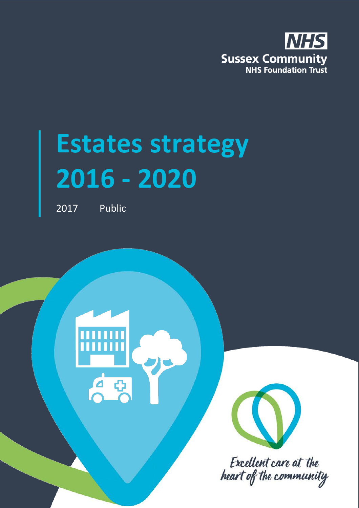

# **Estates strategy 2016 - 2020**

2017 Public





Excellent care at the heart of the community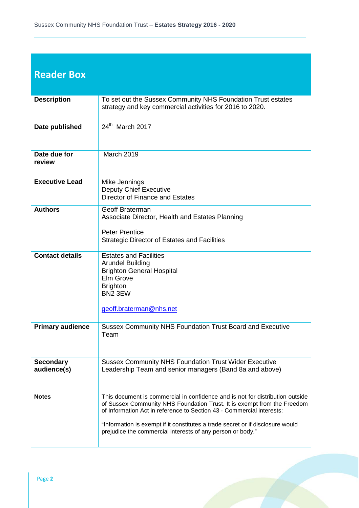#### **Reader Box**

| <b>Description</b>              | To set out the Sussex Community NHS Foundation Trust estates<br>strategy and key commercial activities for 2016 to 2020.                                                                                                                                                                                                                                                          |  |  |  |  |  |
|---------------------------------|-----------------------------------------------------------------------------------------------------------------------------------------------------------------------------------------------------------------------------------------------------------------------------------------------------------------------------------------------------------------------------------|--|--|--|--|--|
| Date published                  | 24th March 2017                                                                                                                                                                                                                                                                                                                                                                   |  |  |  |  |  |
| Date due for<br>review          | <b>March 2019</b>                                                                                                                                                                                                                                                                                                                                                                 |  |  |  |  |  |
| <b>Executive Lead</b>           | Mike Jennings<br><b>Deputy Chief Executive</b><br><b>Director of Finance and Estates</b>                                                                                                                                                                                                                                                                                          |  |  |  |  |  |
| <b>Authors</b>                  | Geoff Braterman<br>Associate Director, Health and Estates Planning<br><b>Peter Prentice</b><br><b>Strategic Director of Estates and Facilities</b>                                                                                                                                                                                                                                |  |  |  |  |  |
| <b>Contact details</b>          | <b>Estates and Facilities</b><br><b>Arundel Building</b><br><b>Brighton General Hospital</b><br>Elm Grove<br><b>Brighton</b><br>BN2 3EW<br>geoff.braterman@nhs.net                                                                                                                                                                                                                |  |  |  |  |  |
| <b>Primary audience</b>         | <b>Sussex Community NHS Foundation Trust Board and Executive</b><br>Team                                                                                                                                                                                                                                                                                                          |  |  |  |  |  |
| <b>Secondary</b><br>audience(s) | <b>Sussex Community NHS Foundation Trust Wider Executive</b><br>Leadership Team and senior managers (Band 8a and above)                                                                                                                                                                                                                                                           |  |  |  |  |  |
| <b>Notes</b>                    | This document is commercial in confidence and is not for distribution outside<br>of Sussex Community NHS Foundation Trust. It is exempt from the Freedom<br>of Information Act in reference to Section 43 - Commercial interests:<br>"Information is exempt if it constitutes a trade secret or if disclosure would<br>prejudice the commercial interests of any person or body." |  |  |  |  |  |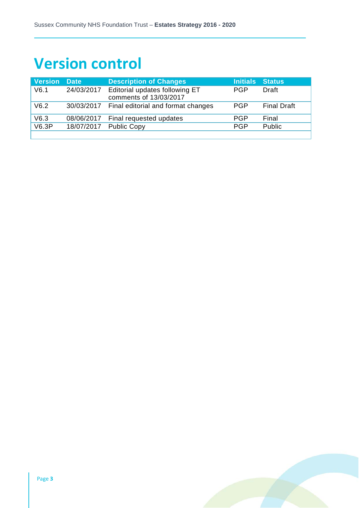# **Version control**

| <b>Version</b> | <b>Date</b> | <b>Description of Changes</b>                            | Initials Status |                    |
|----------------|-------------|----------------------------------------------------------|-----------------|--------------------|
| V6.1           | 24/03/2017  | Editorial updates following ET<br>comments of 13/03/2017 | <b>PGP</b>      | Draft              |
| V6.2           |             | 30/03/2017 Final editorial and format changes            | <b>PGP</b>      | <b>Final Draft</b> |
| V6.3           | 08/06/2017  | Final requested updates                                  | PGP             | Final              |
| V6.3P          | 18/07/2017  | <b>Public Copy</b>                                       | <b>PGP</b>      | Public             |
|                |             |                                                          |                 |                    |

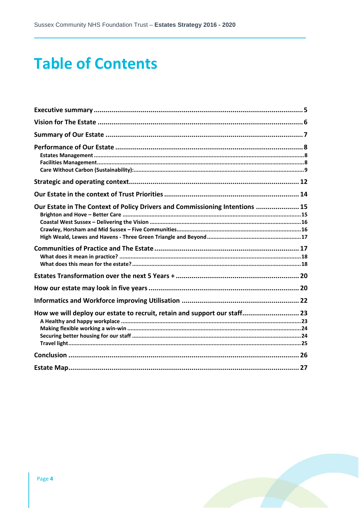# **Table of Contents**

| Our Estate in The Context of Policy Drivers and Commissioning Intentions  15 |  |
|------------------------------------------------------------------------------|--|
|                                                                              |  |
|                                                                              |  |
|                                                                              |  |
|                                                                              |  |
| How we will deploy our estate to recruit, retain and support our staff 23    |  |
|                                                                              |  |
|                                                                              |  |

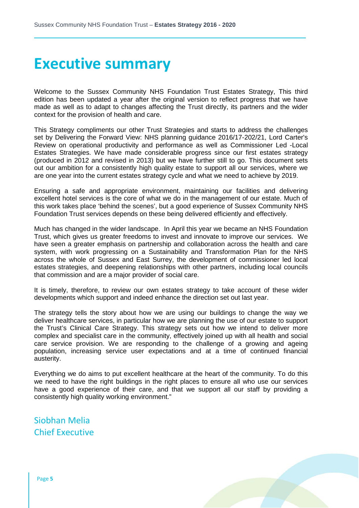### **Executive summary**

Welcome to the Sussex Community NHS Foundation Trust Estates Strategy, This third edition has been updated a year after the original version to reflect progress that we have made as well as to adapt to changes affecting the Trust directly, its partners and the wider context for the provision of health and care.

This Strategy compliments our other Trust Strategies and starts to address the challenges set by Delivering the Forward View: NHS planning guidance 2016/17-202/21, Lord Carter's Review on operational productivity and performance as well as Commissioner Led -Local Estates Strategies. We have made considerable progress since our first estates strategy (produced in 2012 and revised in 2013) but we have further still to go. This document sets out our ambition for a consistently high quality estate to support all our services, where we are one year into the current estates strategy cycle and what we need to achieve by 2019.

Ensuring a safe and appropriate environment, maintaining our facilities and delivering excellent hotel services is the core of what we do in the management of our estate. Much of this work takes place 'behind the scenes', but a good experience of Sussex Community NHS Foundation Trust services depends on these being delivered efficiently and effectively.

Much has changed in the wider landscape. In April this year we became an NHS Foundation Trust, which gives us greater freedoms to invest and innovate to improve our services. We have seen a greater emphasis on partnership and collaboration across the health and care system, with work progressing on a Sustainability and Transformation Plan for the NHS across the whole of Sussex and East Surrey, the development of commissioner led local estates strategies, and deepening relationships with other partners, including local councils that commission and are a major provider of social care.

It is timely, therefore, to review our own estates strategy to take account of these wider developments which support and indeed enhance the direction set out last year.

The strategy tells the story about how we are using our buildings to change the way we deliver healthcare services, in particular how we are planning the use of our estate to support the Trust's Clinical Care Strategy. This strategy sets out how we intend to deliver more complex and specialist care in the community, effectively joined up with all health and social care service provision. We are responding to the challenge of a growing and ageing population, increasing service user expectations and at a time of continued financial austerity.

Everything we do aims to put excellent healthcare at the heart of the community. To do this we need to have the right buildings in the right places to ensure all who use our services have a good experience of their care, and that we support all our staff by providing a consistently high quality working environment."

Siobhan Melia Chief Executive

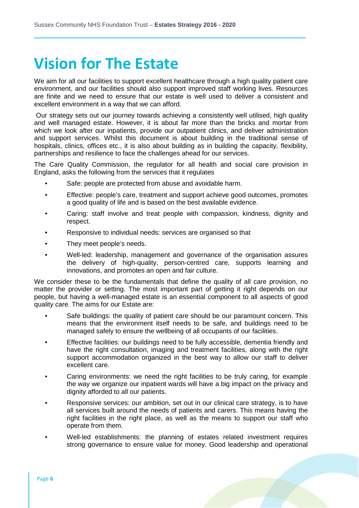## **Vision for The Estate**

We aim for all our facilities to support excellent healthcare through a high quality patient care environment, and our facilities should also support improved staff working lives. Resources are finite and we need to ensure that our estate is well used to deliver a consistent and excellent environment in a way that we can afford.

Our strategy sets out our journey towards achieving a consistently well utilised, high quality and well managed estate. However, it is about far more than the bricks and mortar from which we look after our inpatients, provide our outpatient clinics, and deliver administration and support services. Whilst this document is about building in the traditional sense of hospitals, clinics, offices etc., it is also about building as in building the capacity, flexibility, partnerships and resilience to face the challenges ahead for our services.

The Care Quality Commission, the regulator for all health and social care provision in England, asks the following from the services that it regulates

- Safe: people are protected from abuse and avoidable harm.
- Effective: people's care, treatment and support achieve good outcomes, promotes a good quality of life and is based on the best available evidence.
- Caring: staff involve and treat people with compassion, kindness, dignity and respect.
- Responsive to individual needs: services are organised so that
- They meet people's needs.
- Well-led: leadership, management and governance of the organisation assures the delivery of high-quality, person-centred care, supports learning and innovations, and promotes an open and fair culture.

We consider these to be the fundamentals that define the quality of all care provision, no matter the provider or setting. The most important part of getting it right depends on our people, but having a well-managed estate is an essential component to all aspects of good quality care. The aims for our Estate are:

- Safe buildings: the quality of patient care should be our paramount concern. This means that the environment itself needs to be safe, and buildings need to be managed safely to ensure the wellbeing of all occupants of our facilities.
- Effective facilities: our buildings need to be fully accessible, dementia friendly and have the right consultation, imaging and treatment facilities, along with the right support accommodation organized in the best way to allow our staff to deliver excellent care.
- Caring environments: we need the right facilities to be truly caring, for example the way we organize our inpatient wards will have a big impact on the privacy and dignity afforded to all our patients.
- Responsive services: our ambition, set out in our clinical care strategy, is to have all services built around the needs of patients and carers. This means having the right facilities in the right place, as well as the means to support our staff who operate from them.
- Well-led establishments: the planning of estates related investment requires strong governance to ensure value for money. Good leadership and operational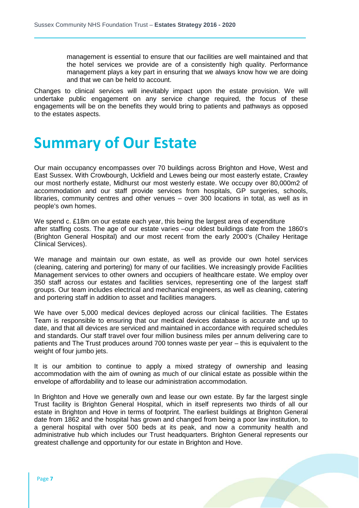management is essential to ensure that our facilities are well maintained and that the hotel services we provide are of a consistently high quality. Performance management plays a key part in ensuring that we always know how we are doing and that we can be held to account.

Changes to clinical services will inevitably impact upon the estate provision. We will undertake public engagement on any service change required, the focus of these engagements will be on the benefits they would bring to patients and pathways as opposed to the estates aspects.

### **Summary of Our Estate**

Our main occupancy encompasses over 70 buildings across Brighton and Hove, West and East Sussex. With Crowbourgh, Uckfield and Lewes being our most easterly estate, Crawley our most northerly estate, Midhurst our most westerly estate. We occupy over 80,000m2 of accommodation and our staff provide services from hospitals, GP surgeries, schools, libraries, community centres and other venues – over 300 locations in total, as well as in people's own homes.

We spend c. £18m on our estate each year, this being the largest area of expenditure after staffing costs. The age of our estate varies –our oldest buildings date from the 1860's (Brighton General Hospital) and our most recent from the early 2000's (Chailey Heritage Clinical Services).

We manage and maintain our own estate, as well as provide our own hotel services (cleaning, catering and portering) for many of our facilities. We increasingly provide Facilities Management services to other owners and occupiers of healthcare estate. We employ over 350 staff across our estates and facilities services, representing one of the largest staff groups. Our team includes electrical and mechanical engineers, as well as cleaning, catering and portering staff in addition to asset and facilities managers.

We have over 5,000 medical devices deployed across our clinical facilities. The Estates Team is responsible to ensuring that our medical devices database is accurate and up to date, and that all devices are serviced and maintained in accordance with required schedules and standards. Our staff travel over four million business miles per annum delivering care to patients and The Trust produces around 700 tonnes waste per year – this is equivalent to the weight of four jumbo jets.

It is our ambition to continue to apply a mixed strategy of ownership and leasing accommodation with the aim of owning as much of our clinical estate as possible within the envelope of affordability and to lease our administration accommodation.

In Brighton and Hove we generally own and lease our own estate. By far the largest single Trust facility is Brighton General Hospital, which in itself represents two thirds of all our estate in Brighton and Hove in terms of footprint. The earliest buildings at Brighton General date from 1862 and the hospital has grown and changed from being a poor law institution, to a general hospital with over 500 beds at its peak, and now a community health and administrative hub which includes our Trust headquarters. Brighton General represents our greatest challenge and opportunity for our estate in Brighton and Hove.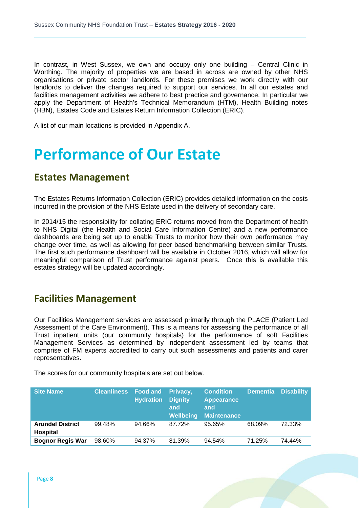In contrast, in West Sussex, we own and occupy only one building – Central Clinic in Worthing. The majority of properties we are based in across are owned by other NHS organisations or private sector landlords. For these premises we work directly with our landlords to deliver the changes required to support our services. In all our estates and facilities management activities we adhere to best practice and governance. In particular we apply the Department of Health's Technical Memorandum (HTM), Health Building notes (HBN), Estates Code and Estates Return Information Collection (ERIC).

A list of our main locations is provided in Appendix A.

### **Performance of Our Estate**

#### **Estates Management**

The Estates Returns Information Collection (ERIC) provides detailed information on the costs incurred in the provision of the NHS Estate used in the delivery of secondary care.

In 2014/15 the responsibility for collating ERIC returns moved from the Department of health to NHS Digital (the Health and Social Care Information Centre) and a new performance dashboards are being set up to enable Trusts to monitor how their own performance may change over time, as well as allowing for peer based benchmarking between similar Trusts. The first such performance dashboard will be available in October 2016, which will allow for meaningful comparison of Trust performance against peers. Once this is available this estates strategy will be updated accordingly.

#### **Facilities Management**

Our Facilities Management services are assessed primarily through the PLACE (Patient Led Assessment of the Care Environment). This is a means for assessing the performance of all Trust inpatient units (our community hospitals) for the performance of soft Facilities Management Services as determined by independent assessment led by teams that comprise of FM experts accredited to carry out such assessments and patients and carer representatives.

The scores for our community hospitals are set out below.

| <b>Site Name</b>                           | <b>Cleanliness</b> Food and | <b>Hydration</b> | Privacy,<br><b>Dignity</b><br>and<br><b>Wellbeing</b> | <b>Condition</b><br><b>Appearance</b><br>and<br><b>Maintenance</b> | <b>Dementia</b> | <b>Disability</b> |
|--------------------------------------------|-----------------------------|------------------|-------------------------------------------------------|--------------------------------------------------------------------|-----------------|-------------------|
| <b>Arundel District</b><br><b>Hospital</b> | 99.48%                      | 94.66%           | 87.72%                                                | 95.65%                                                             | 68.09%          | 72.33%            |
| <b>Bognor Regis War</b>                    | 98.60%                      | 94.37%           | 81.39%                                                | 94.54%                                                             | 71.25%          | 74.44%            |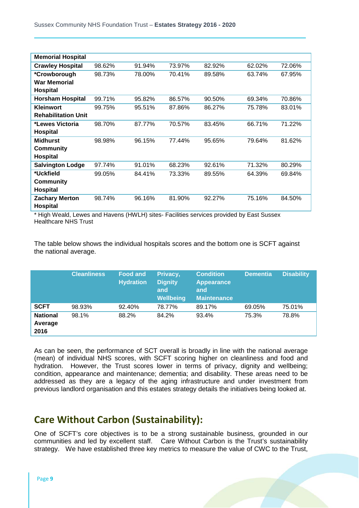| <b>Memorial Hospital</b>   |        |        |        |        |        |        |
|----------------------------|--------|--------|--------|--------|--------|--------|
| <b>Crawley Hospital</b>    | 98.62% | 91.94% | 73.97% | 82.92% | 62.02% | 72.06% |
| *Crowborough               | 98.73% | 78.00% | 70.41% | 89.58% | 63.74% | 67.95% |
| <b>War Memorial</b>        |        |        |        |        |        |        |
| <b>Hospital</b>            |        |        |        |        |        |        |
| <b>Horsham Hospital</b>    | 99.71% | 95.82% | 86.57% | 90.50% | 69.34% | 70.86% |
| <b>Kleinwort</b>           | 99.75% | 95.51% | 87.86% | 86.27% | 75.78% | 83.01% |
| <b>Rehabilitation Unit</b> |        |        |        |        |        |        |
| *Lewes Victoria            | 98.70% | 87.77% | 70.57% | 83.45% | 66.71% | 71.22% |
| <b>Hospital</b>            |        |        |        |        |        |        |
| <b>Midhurst</b>            | 98.98% | 96.15% | 77.44% | 95.65% | 79.64% | 81.62% |
| <b>Community</b>           |        |        |        |        |        |        |
| <b>Hospital</b>            |        |        |        |        |        |        |
| <b>Salvington Lodge</b>    | 97.74% | 91.01% | 68.23% | 92.61% | 71.32% | 80.29% |
| *Uckfield                  | 99.05% | 84.41% | 73.33% | 89.55% | 64.39% | 69.84% |
| <b>Community</b>           |        |        |        |        |        |        |
| <b>Hospital</b>            |        |        |        |        |        |        |
| <b>Zachary Merton</b>      | 98.74% | 96.16% | 81.90% | 92.27% | 75.16% | 84.50% |
| <b>Hospital</b>            |        |        |        |        |        |        |

\* High Weald, Lewes and Havens (HWLH) sites- Facilities services provided by East Sussex Healthcare NHS Trust

The table below shows the individual hospitals scores and the bottom one is SCFT against the national average.

|                                    | <b>Cleanliness</b> | <b>Food and</b><br><b>Hydration</b> | Privacy,<br><b>Dignity</b><br>and<br>Wellbeing | <b>Condition</b><br><b>Appearance</b><br>and<br><b>Maintenance</b> | <b>Dementia</b> | <b>Disability</b> |
|------------------------------------|--------------------|-------------------------------------|------------------------------------------------|--------------------------------------------------------------------|-----------------|-------------------|
| <b>SCFT</b>                        | 98.93%             | 92.40%                              | 78.77%                                         | 89.17%                                                             | 69.05%          | 75.01%            |
| <b>National</b><br>Average<br>2016 | 98.1%              | 88.2%                               | 84.2%                                          | 93.4%                                                              | 75.3%           | 78.8%             |

As can be seen, the performance of SCT overall is broadly in line with the national average (mean) of individual NHS scores, with SCFT scoring higher on cleanliness and food and hydration. However, the Trust scores lower in terms of privacy, dignity and wellbeing; condition, appearance and maintenance; dementia; and disability. These areas need to be addressed as they are a legacy of the aging infrastructure and under investment from previous landlord organisation and this estates strategy details the initiatives being looked at.

#### **Care Without Carbon (Sustainability):**

One of SCFT's core objectives is to be a strong sustainable business, grounded in our communities and led by excellent staff. Care Without Carbon is the Trust's sustainability strategy. We have established three key metrics to measure the value of CWC to the Trust,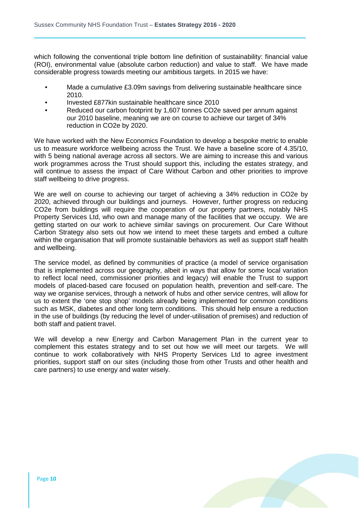which following the conventional triple bottom line definition of sustainability: financial value (ROI), environmental value (absolute carbon reduction) and value to staff. We have made considerable progress towards meeting our ambitious targets. In 2015 we have:

- Made a cumulative £3.09m savings from delivering sustainable healthcare since 2010.
- Invested £877kin sustainable healthcare since 2010
- Reduced our carbon footprint by 1,607 tonnes CO2e saved per annum against our 2010 baseline, meaning we are on course to achieve our target of 34% reduction in CO2e by 2020.

We have worked with the New Economics Foundation to develop a bespoke metric to enable us to measure workforce wellbeing across the Trust. We have a baseline score of 4.35/10, with 5 being national average across all sectors. We are aiming to increase this and various work programmes across the Trust should support this, including the estates strategy, and will continue to assess the impact of Care Without Carbon and other priorities to improve staff wellbeing to drive progress.

We are well on course to achieving our target of achieving a 34% reduction in CO2e by 2020, achieved through our buildings and journeys. However, further progress on reducing CO2e from buildings will require the cooperation of our property partners, notably NHS Property Services Ltd, who own and manage many of the facilities that we occupy. We are getting started on our work to achieve similar savings on procurement. Our Care Without Carbon Strategy also sets out how we intend to meet these targets and embed a culture within the organisation that will promote sustainable behaviors as well as support staff health and wellbeing.

The service model, as defined by communities of practice (a model of service organisation that is implemented across our geography, albeit in ways that allow for some local variation to reflect local need, commissioner priorities and legacy) will enable the Trust to support models of placed-based care focused on population health, prevention and self-care. The way we organise services, through a network of hubs and other service centres, will allow for us to extent the 'one stop shop' models already being implemented for common conditions such as MSK, diabetes and other long term conditions. This should help ensure a reduction in the use of buildings (by reducing the level of under-utilisation of premises) and reduction of both staff and patient travel.

We will develop a new Energy and Carbon Management Plan in the current year to complement this estates strategy and to set out how we will meet our targets. We will continue to work collaboratively with NHS Property Services Ltd to agree investment priorities, support staff on our sites (including those from other Trusts and other health and care partners) to use energy and water wisely.

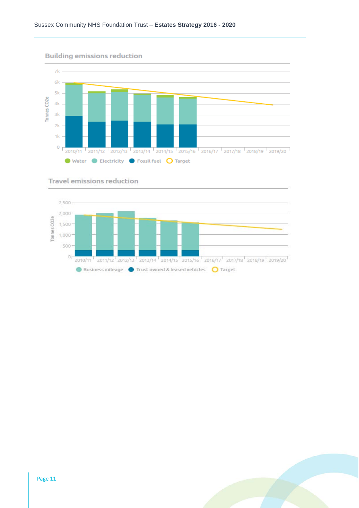

#### Travel emissions reduction



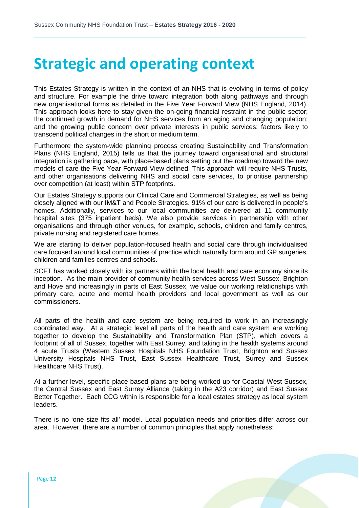### **Strategic and operating context**

This Estates Strategy is written in the context of an NHS that is evolving in terms of policy and structure. For example the drive toward integration both along pathways and through new organisational forms as detailed in the Five Year Forward View (NHS England, 2014). This approach looks here to stay given the on-going financial restraint in the public sector; the continued growth in demand for NHS services from an aging and changing population; and the growing public concern over private interests in public services; factors likely to transcend political changes in the short or medium term.

Furthermore the system-wide planning process creating Sustainability and Transformation Plans (NHS England, 2015) tells us that the journey toward organisational and structural integration is gathering pace, with place-based plans setting out the roadmap toward the new models of care the Five Year Forward View defined. This approach will require NHS Trusts, and other organisations delivering NHS and social care services, to prioritise partnership over competition (at least) within STP footprints.

Our Estates Strategy supports our Clinical Care and Commercial Strategies, as well as being closely aligned with our IM&T and People Strategies. 91% of our care is delivered in people's homes. Additionally, services to our local communities are delivered at 11 community hospital sites (375 inpatient beds). We also provide services in partnership with other organisations and through other venues, for example, schools, children and family centres, private nursing and registered care homes.

We are starting to deliver population-focused health and social care through individualised care focused around local communities of practice which naturally form around GP surgeries, children and families centres and schools.

SCFT has worked closely with its partners within the local health and care economy since its inception. As the main provider of community health services across West Sussex, Brighton and Hove and increasingly in parts of East Sussex, we value our working relationships with primary care, acute and mental health providers and local government as well as our commissioners.

All parts of the health and care system are being required to work in an increasingly coordinated way. At a strategic level all parts of the health and care system are working together to develop the Sustainability and Transformation Plan (STP), which covers a footprint of all of Sussex, together with East Surrey, and taking in the health systems around 4 acute Trusts (Western Sussex Hospitals NHS Foundation Trust, Brighton and Sussex University Hospitals NHS Trust, East Sussex Healthcare Trust, Surrey and Sussex Healthcare NHS Trust).

At a further level, specific place based plans are being worked up for Coastal West Sussex, the Central Sussex and East Surrey Alliance (taking in the A23 corridor) and East Sussex Better Together. Each CCG within is responsible for a local estates strategy as local system leaders.

There is no 'one size fits all' model. Local population needs and priorities differ across our area. However, there are a number of common principles that apply nonetheless: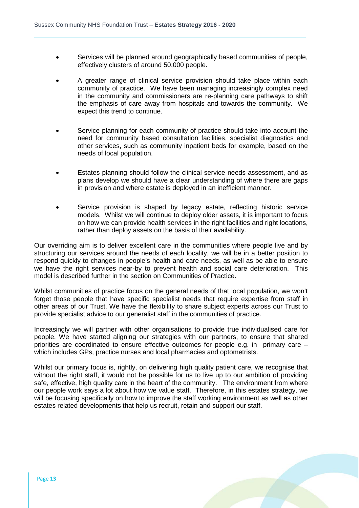- Services will be planned around geographically based communities of people, effectively clusters of around 50,000 people.
- A greater range of clinical service provision should take place within each community of practice. We have been managing increasingly complex need in the community and commissioners are re-planning care pathways to shift the emphasis of care away from hospitals and towards the community. We expect this trend to continue.
- Service planning for each community of practice should take into account the need for community based consultation facilities, specialist diagnostics and other services, such as community inpatient beds for example, based on the needs of local population.
- Estates planning should follow the clinical service needs assessment, and as plans develop we should have a clear understanding of where there are gaps in provision and where estate is deployed in an inefficient manner.
- Service provision is shaped by legacy estate, reflecting historic service models. Whilst we will continue to deploy older assets, it is important to focus on how we can provide health services in the right facilities and right locations, rather than deploy assets on the basis of their availability.

Our overriding aim is to deliver excellent care in the communities where people live and by structuring our services around the needs of each locality, we will be in a better position to respond quickly to changes in people's health and care needs, as well as be able to ensure we have the right services near-by to prevent health and social care deterioration. This model is described further in the section on Communities of Practice.

Whilst communities of practice focus on the general needs of that local population, we won't forget those people that have specific specialist needs that require expertise from staff in other areas of our Trust. We have the flexibility to share subject experts across our Trust to provide specialist advice to our generalist staff in the communities of practice.

Increasingly we will partner with other organisations to provide true individualised care for people. We have started aligning our strategies with our partners, to ensure that shared priorities are coordinated to ensure effective outcomes for people e.g. in primary care – which includes GPs, practice nurses and local pharmacies and optometrists.

Whilst our primary focus is, rightly, on delivering high quality patient care, we recognise that without the right staff, it would not be possible for us to live up to our ambition of providing safe, effective, high quality care in the heart of the community. The environment from where our people work says a lot about how we value staff. Therefore, in this estates strategy, we will be focusing specifically on how to improve the staff working environment as well as other estates related developments that help us recruit, retain and support our staff.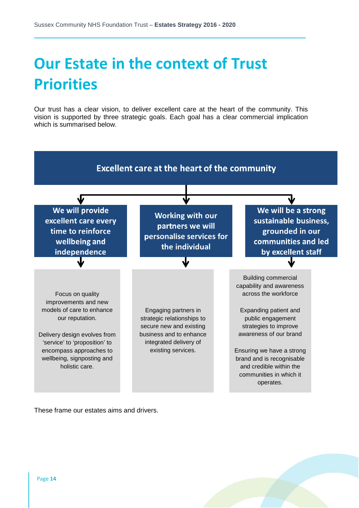# **Our Estate in the context of Trust Priorities**

Our trust has a clear vision, to deliver excellent care at the heart of the community. This vision is supported by three strategic goals. Each goal has a clear commercial implication which is summarised below.



These frame our estates aims and drivers.

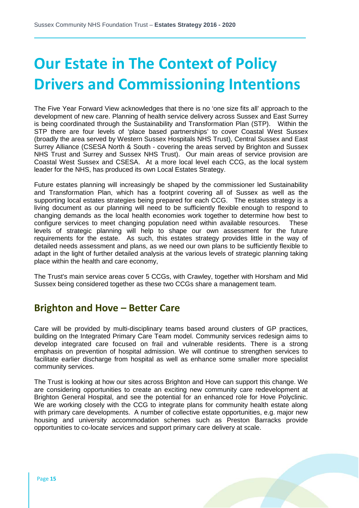# **Our Estate in The Context of Policy Drivers and Commissioning Intentions**

The Five Year Forward View acknowledges that there is no 'one size fits all' approach to the development of new care. Planning of health service delivery across Sussex and East Surrey is being coordinated through the Sustainability and Transformation Plan (STP). Within the STP there are four levels of 'place based partnerships' to cover Coastal West Sussex (broadly the area served by Western Sussex Hospitals NHS Trust), Central Sussex and East Surrey Alliance (CSESA North & South - covering the areas served by Brighton and Sussex NHS Trust and Surrey and Sussex NHS Trust). Our main areas of service provision are Coastal West Sussex and CSESA. At a more local level each CCG, as the local system leader for the NHS, has produced its own Local Estates Strategy.

Future estates planning will increasingly be shaped by the commissioner led Sustainability and Transformation Plan, which has a footprint covering all of Sussex as well as the supporting local estates strategies being prepared for each CCG. The estates strategy is a living document as our planning will need to be sufficiently flexible enough to respond to changing demands as the local health economies work together to determine how best to configure services to meet changing population need within available resources. These levels of strategic planning will help to shape our own assessment for the future requirements for the estate. As such, this estates strategy provides little in the way of detailed needs assessment and plans, as we need our own plans to be sufficiently flexible to adapt in the light of further detailed analysis at the various levels of strategic planning taking place within the health and care economy,

The Trust's main service areas cover 5 CCGs, with Crawley, together with Horsham and Mid Sussex being considered together as these two CCGs share a management team.

#### **Brighton and Hove – Better Care**

Care will be provided by multi-disciplinary teams based around clusters of GP practices, building on the Integrated Primary Care Team model. Community services redesign aims to develop integrated care focused on frail and vulnerable residents. There is a strong emphasis on prevention of hospital admission. We will continue to strengthen services to facilitate earlier discharge from hospital as well as enhance some smaller more specialist community services.

The Trust is looking at how our sites across Brighton and Hove can support this change. We are considering opportunities to create an exciting new community care redevelopment at Brighton General Hospital, and see the potential for an enhanced role for Hove Polyclinic. We are working closely with the CCG to integrate plans for community health estate along with primary care developments. A number of collective estate opportunities, e.g. major new housing and university accommodation schemes such as Preston Barracks provide opportunities to co-locate services and support primary care delivery at scale.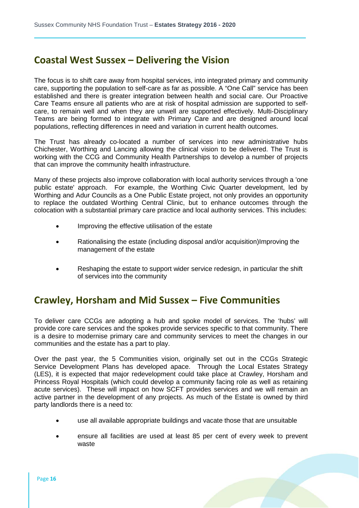#### **Coastal West Sussex – Delivering the Vision**

The focus is to shift care away from hospital services, into integrated primary and community care, supporting the population to self-care as far as possible. A "One Call" service has been established and there is greater integration between health and social care. Our Proactive Care Teams ensure all patients who are at risk of hospital admission are supported to selfcare, to remain well and when they are unwell are supported effectively. Multi-Disciplinary Teams are being formed to integrate with Primary Care and are designed around local populations, reflecting differences in need and variation in current health outcomes.

The Trust has already co-located a number of services into new administrative hubs Chichester, Worthing and Lancing allowing the clinical vision to be delivered. The Trust is working with the CCG and Community Health Partnerships to develop a number of projects that can improve the community health infrastructure.

Many of these projects also improve collaboration with local authority services through a 'one public estate' approach. For example, the Worthing Civic Quarter development, led by Worthing and Adur Councils as a One Public Estate project, not only provides an opportunity to replace the outdated Worthing Central Clinic, but to enhance outcomes through the colocation with a substantial primary care practice and local authority services. This includes:

- Improving the effective utilisation of the estate
- Rationalising the estate (including disposal and/or acquisition)Improving the management of the estate
- Reshaping the estate to support wider service redesign, in particular the shift of services into the community

#### **Crawley, Horsham and Mid Sussex – Five Communities**

To deliver care CCGs are adopting a hub and spoke model of services. The 'hubs' will provide core care services and the spokes provide services specific to that community. There is a desire to modernise primary care and community services to meet the changes in our communities and the estate has a part to play.

Over the past year, the 5 Communities vision, originally set out in the CCGs Strategic Service Development Plans has developed apace. Through the Local Estates Strategy (LES), it is expected that major redevelopment could take place at Crawley, Horsham and Princess Royal Hospitals (which could develop a community facing role as well as retaining acute services). These will impact on how SCFT provides services and we will remain an active partner in the development of any projects. As much of the Estate is owned by third party landlords there is a need to:

- use all available appropriate buildings and vacate those that are unsuitable
- ensure all facilities are used at least 85 per cent of every week to prevent waste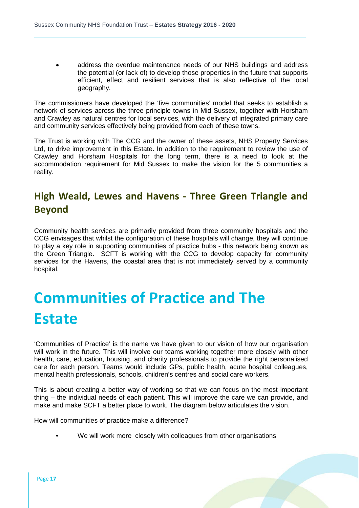• address the overdue maintenance needs of our NHS buildings and address the potential (or lack of) to develop those properties in the future that supports efficient, effect and resilient services that is also reflective of the local geography.

The commissioners have developed the 'five communities' model that seeks to establish a network of services across the three principle towns in Mid Sussex, together with Horsham and Crawley as natural centres for local services, with the delivery of integrated primary care and community services effectively being provided from each of these towns.

The Trust is working with The CCG and the owner of these assets, NHS Property Services Ltd, to drive improvement in this Estate. In addition to the requirement to review the use of Crawley and Horsham Hospitals for the long term, there is a need to look at the accommodation requirement for Mid Sussex to make the vision for the 5 communities a reality.

#### **High Weald, Lewes and Havens - Three Green Triangle and Beyond**

Community health services are primarily provided from three community hospitals and the CCG envisages that whilst the configuration of these hospitals will change, they will continue to play a key role in supporting communities of practice hubs - this network being known as the Green Triangle. SCFT is working with the CCG to develop capacity for community services for the Havens, the coastal area that is not immediately served by a community hospital.

## **Communities of Practice and The Estate**

'Communities of Practice' is the name we have given to our vision of how our organisation will work in the future. This will involve our teams working together more closely with other health, care, education, housing, and charity professionals to provide the right personalised care for each person. Teams would include GPs, public health, acute hospital colleagues, mental health professionals, schools, children's centres and social care workers.

This is about creating a better way of working so that we can focus on the most important thing – the individual needs of each patient. This will improve the care we can provide, and make and make SCFT a better place to work. The diagram below articulates the vision.

How will communities of practice make a difference?

We will work more closely with colleagues from other organisations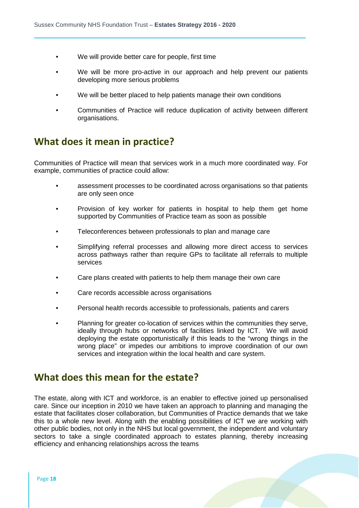- We will provide better care for people, first time
- We will be more pro-active in our approach and help prevent our patients developing more serious problems
- We will be better placed to help patients manage their own conditions
- Communities of Practice will reduce duplication of activity between different organisations.

#### **What does it mean in practice?**

Communities of Practice will mean that services work in a much more coordinated way. For example, communities of practice could allow:

- assessment processes to be coordinated across organisations so that patients are only seen once
- Provision of key worker for patients in hospital to help them get home supported by Communities of Practice team as soon as possible
- Teleconferences between professionals to plan and manage care
- Simplifying referral processes and allowing more direct access to services across pathways rather than require GPs to facilitate all referrals to multiple services
- Care plans created with patients to help them manage their own care
- Care records accessible across organisations
- Personal health records accessible to professionals, patients and carers
- Planning for greater co-location of services within the communities they serve, ideally through hubs or networks of facilities linked by ICT. We will avoid deploying the estate opportunistically if this leads to the "wrong things in the wrong place" or impedes our ambitions to improve coordination of our own services and integration within the local health and care system.

#### **What does this mean for the estate?**

The estate, along with ICT and workforce, is an enabler to effective joined up personalised care. Since our inception in 2010 we have taken an approach to planning and managing the estate that facilitates closer collaboration, but Communities of Practice demands that we take this to a whole new level. Along with the enabling possibilities of ICT we are working with other public bodies, not only in the NHS but local government, the independent and voluntary sectors to take a single coordinated approach to estates planning, thereby increasing efficiency and enhancing relationships across the teams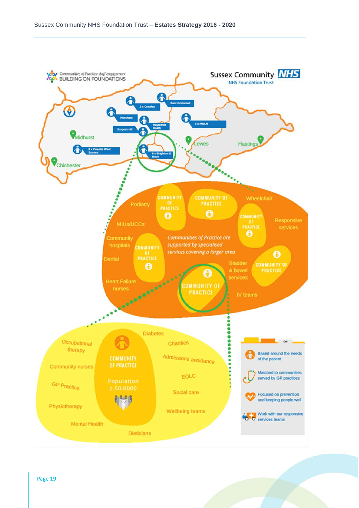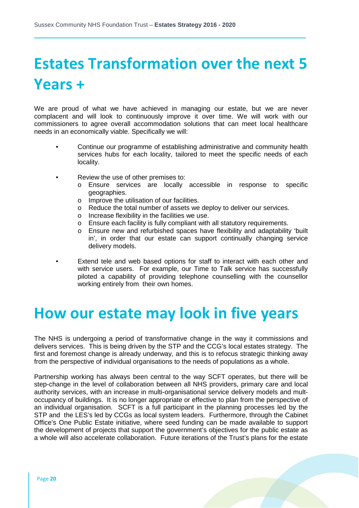# **Estates Transformation over the next 5 Years +**

We are proud of what we have achieved in managing our estate, but we are never complacent and will look to continuously improve it over time. We will work with our commissioners to agree overall accommodation solutions that can meet local healthcare needs in an economically viable. Specifically we will:

- Continue our programme of establishing administrative and community health services hubs for each locality, tailored to meet the specific needs of each locality.
- Review the use of other premises to:
	- o Ensure services are locally accessible in response to specific geographies.
	- o Improve the utilisation of our facilities.
	- o Reduce the total number of assets we deploy to deliver our services.
	- o Increase flexibility in the facilities we use.
	- o Ensure each facility is fully compliant with all statutory requirements.
	- o Ensure new and refurbished spaces have flexibility and adaptability 'built in', in order that our estate can support continually changing service delivery models.
- Extend tele and web based options for staff to interact with each other and with service users. For example, our Time to Talk service has successfully piloted a capability of providing telephone counselling with the counsellor working entirely from their own homes.

### **How our estate may look in five years**

The NHS is undergoing a period of transformative change in the way it commissions and delivers services. This is being driven by the STP and the CCG's local estates strategy. The first and foremost change is already underway, and this is to refocus strategic thinking away from the perspective of individual organisations to the needs of populations as a whole.

Partnership working has always been central to the way SCFT operates, but there will be step-change in the level of collaboration between all NHS providers, primary care and local authority services, with an increase in multi-organisational service delivery models and multoccupancy of buildings. It is no longer appropriate or effective to plan from the perspective of an individual organisation. SCFT is a full participant in the planning processes led by the STP and the LES's led by CCGs as local system leaders. Furthermore, through the Cabinet Office's One Public Estate initiative, where seed funding can be made available to support the development of projects that support the government's objectives for the public estate as a whole will also accelerate collaboration. Future iterations of the Trust's plans for the estate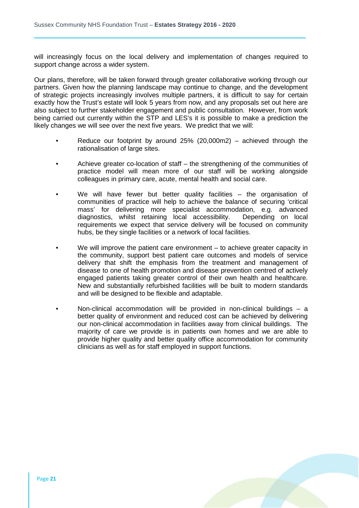will increasingly focus on the local delivery and implementation of changes required to support change across a wider system.

Our plans, therefore, will be taken forward through greater collaborative working through our partners. Given how the planning landscape may continue to change, and the development of strategic projects increasingly involves multiple partners, it is difficult to say for certain exactly how the Trust's estate will look 5 years from now, and any proposals set out here are also subject to further stakeholder engagement and public consultation. However, from work being carried out currently within the STP and LES's it is possible to make a prediction the likely changes we will see over the next five years. We predict that we will:

- Reduce our footprint by around  $25\%$  (20,000m2) achieved through the rationalisation of large sites.
- Achieve greater co-location of staff the strengthening of the communities of practice model will mean more of our staff will be working alongside colleagues in primary care, acute, mental health and social care.
- We will have fewer but better quality facilities  $-$  the organisation of communities of practice will help to achieve the balance of securing 'critical mass' for delivering more specialist accommodation, e.g. advanced diagnostics, whilst retaining local accessibility. requirements we expect that service delivery will be focused on community hubs, be they single facilities or a network of local facilities.
- We will improve the patient care environment  $-$  to achieve greater capacity in the community, support best patient care outcomes and models of service delivery that shift the emphasis from the treatment and management of disease to one of health promotion and disease prevention centred of actively engaged patients taking greater control of their own health and healthcare. New and substantially refurbished facilities will be built to modern standards and will be designed to be flexible and adaptable.
- Non-clinical accommodation will be provided in non-clinical buildings a better quality of environment and reduced cost can be achieved by delivering our non-clinical accommodation in facilities away from clinical buildings. The majority of care we provide is in patients own homes and we are able to provide higher quality and better quality office accommodation for community clinicians as well as for staff employed in support functions.

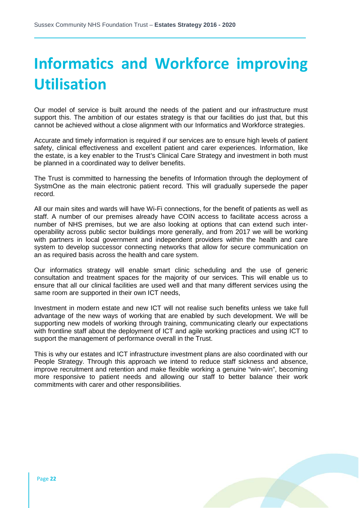# **Informatics and Workforce improving Utilisation**

Our model of service is built around the needs of the patient and our infrastructure must support this. The ambition of our estates strategy is that our facilities do just that, but this cannot be achieved without a close alignment with our Informatics and Workforce strategies.

Accurate and timely information is required if our services are to ensure high levels of patient safety, clinical effectiveness and excellent patient and carer experiences. Information, like the estate, is a key enabler to the Trust's Clinical Care Strategy and investment in both must be planned in a coordinated way to deliver benefits.

The Trust is committed to harnessing the benefits of Information through the deployment of SystmOne as the main electronic patient record. This will gradually supersede the paper record.

All our main sites and wards will have Wi-Fi connections, for the benefit of patients as well as staff. A number of our premises already have COIN access to facilitate access across a number of NHS premises, but we are also looking at options that can extend such interoperability across public sector buildings more generally, and from 2017 we will be working with partners in local government and independent providers within the health and care system to develop successor connecting networks that allow for secure communication on an as required basis across the health and care system.

Our informatics strategy will enable smart clinic scheduling and the use of generic consultation and treatment spaces for the majority of our services. This will enable us to ensure that all our clinical facilities are used well and that many different services using the same room are supported in their own ICT needs,

Investment in modern estate and new ICT will not realise such benefits unless we take full advantage of the new ways of working that are enabled by such development. We will be supporting new models of working through training, communicating clearly our expectations with frontline staff about the deployment of ICT and agile working practices and using ICT to support the management of performance overall in the Trust.

This is why our estates and ICT infrastructure investment plans are also coordinated with our People Strategy. Through this approach we intend to reduce staff sickness and absence, improve recruitment and retention and make flexible working a genuine "win-win", becoming more responsive to patient needs and allowing our staff to better balance their work commitments with carer and other responsibilities.

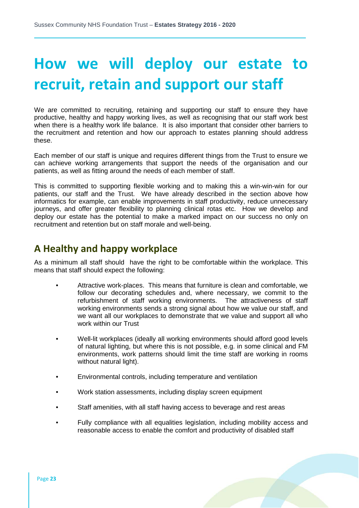## **How we will deploy our estate to recruit, retain and support our staff**

We are committed to recruiting, retaining and supporting our staff to ensure they have productive, healthy and happy working lives, as well as recognising that our staff work best when there is a healthy work life balance. It is also important that consider other barriers to the recruitment and retention and how our approach to estates planning should address these.

Each member of our staff is unique and requires different things from the Trust to ensure we can achieve working arrangements that support the needs of the organisation and our patients, as well as fitting around the needs of each member of staff.

This is committed to supporting flexible working and to making this a win-win-win for our patients, our staff and the Trust. We have already described in the section above how informatics for example, can enable improvements in staff productivity, reduce unnecessary journeys, and offer greater flexibility to planning clinical rotas etc. How we develop and deploy our estate has the potential to make a marked impact on our success no only on recruitment and retention but on staff morale and well-being.

#### **A Healthy and happy workplace**

As a minimum all staff should have the right to be comfortable within the workplace. This means that staff should expect the following:

- Attractive work-places. This means that furniture is clean and comfortable, we follow our decorating schedules and, where necessary, we commit to the refurbishment of staff working environments. The attractiveness of staff working environments sends a strong signal about how we value our staff, and we want all our workplaces to demonstrate that we value and support all who work within our Trust
- Well-lit workplaces (ideally all working environments should afford good levels of natural lighting, but where this is not possible, e.g. in some clinical and FM environments, work patterns should limit the time staff are working in rooms without natural light).
- Environmental controls, including temperature and ventilation
- Work station assessments, including display screen equipment
- Staff amenities, with all staff having access to beverage and rest areas
- Fully compliance with all equalities legislation, including mobility access and reasonable access to enable the comfort and productivity of disabled staff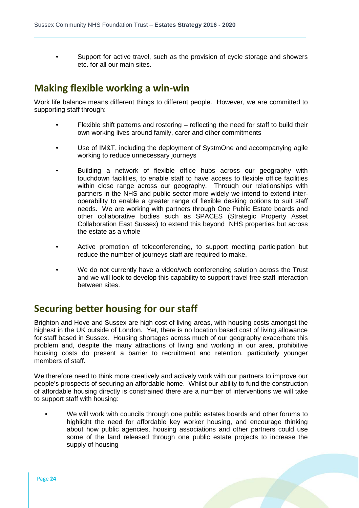• Support for active travel, such as the provision of cycle storage and showers etc. for all our main sites.

#### **Making flexible working a win-win**

Work life balance means different things to different people. However, we are committed to supporting staff through:

- Flexible shift patterns and rostering reflecting the need for staff to build their own working lives around family, carer and other commitments
- Use of IM&T, including the deployment of SystmOne and accompanying agile working to reduce unnecessary journeys
- Building a network of flexible office hubs across our geography with touchdown facilities, to enable staff to have access to flexible office facilities within close range across our geography. Through our relationships with partners in the NHS and public sector more widely we intend to extend interoperability to enable a greater range of flexible desking options to suit staff needs. We are working with partners through One Public Estate boards and other collaborative bodies such as SPACES (Strategic Property Asset Collaboration East Sussex) to extend this beyond NHS properties but across the estate as a whole
- Active promotion of teleconferencing, to support meeting participation but reduce the number of journeys staff are required to make.
- We do not currently have a video/web conferencing solution across the Trust and we will look to develop this capability to support travel free staff interaction between sites.

#### **Securing better housing for our staff**

Brighton and Hove and Sussex are high cost of living areas, with housing costs amongst the highest in the UK outside of London. Yet, there is no location based cost of living allowance for staff based in Sussex. Housing shortages across much of our geography exacerbate this problem and, despite the many attractions of living and working in our area, prohibitive housing costs do present a barrier to recruitment and retention, particularly younger members of staff.

We therefore need to think more creatively and actively work with our partners to improve our people's prospects of securing an affordable home. Whilst our ability to fund the construction of affordable housing directly is constrained there are a number of interventions we will take to support staff with housing:

• We will work with councils through one public estates boards and other forums to highlight the need for affordable key worker housing, and encourage thinking about how public agencies, housing associations and other partners could use some of the land released through one public estate projects to increase the supply of housing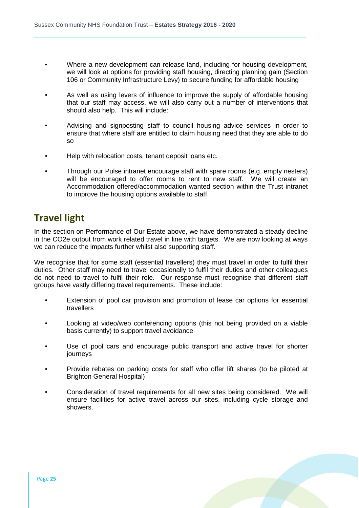- Where a new development can release land, including for housing development, we will look at options for providing staff housing, directing planning gain (Section 106 or Community Infrastructure Levy) to secure funding for affordable housing
- As well as using levers of influence to improve the supply of affordable housing that our staff may access, we will also carry out a number of interventions that should also help. This will include:
- Advising and signposting staff to council housing advice services in order to ensure that where staff are entitled to claim housing need that they are able to do so
- Help with relocation costs, tenant deposit loans etc.
- Through our Pulse intranet encourage staff with spare rooms (e.g. empty nesters) will be encouraged to offer rooms to rent to new staff. We will create an Accommodation offered/accommodation wanted section within the Trust intranet to improve the housing options available to staff.

#### **Travel light**

In the section on Performance of Our Estate above, we have demonstrated a steady decline in the CO2e output from work related travel in line with targets. We are now looking at ways we can reduce the impacts further whilst also supporting staff.

We recognise that for some staff (essential travellers) they must travel in order to fulfil their duties. Other staff may need to travel occasionally to fulfil their duties and other colleagues do not need to travel to fulfil their role. Our response must recognise that different staff groups have vastly differing travel requirements. These include:

- Extension of pool car provision and promotion of lease car options for essential travellers
- Looking at video/web conferencing options (this not being provided on a viable basis currently) to support travel avoidance
- Use of pool cars and encourage public transport and active travel for shorter journeys
- Provide rebates on parking costs for staff who offer lift shares (to be piloted at Brighton General Hospital)
- Consideration of travel requirements for all new sites being considered. We will ensure facilities for active travel across our sites, including cycle storage and showers.

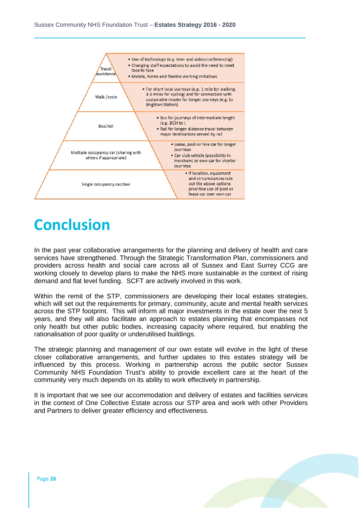

### **Conclusion**

In the past year collaborative arrangements for the planning and delivery of health and care services have strengthened. Through the Strategic Transformation Plan, commissioners and providers across health and social care across all of Sussex and East Surrey CCG are working closely to develop plans to make the NHS more sustainable in the context of rising demand and flat level funding. SCFT are actively involved in this work.

Within the remit of the STP, commissioners are developing their local estates strategies, which will set out the requirements for primary, community, acute and mental health services across the STP footprint. This will inform all major investments in the estate over the next 5 years, and they will also facilitate an approach to estates planning that encompasses not only health but other public bodies, increasing capacity where required, but enabling the rationalisation of poor quality or underutilised buildings.

The strategic planning and management of our own estate will evolve in the light of these closer collaborative arrangements, and further updates to this estates strategy will be influenced by this process. Working in partnership across the public sector Sussex Community NHS Foundation Trust's ability to provide excellent care at the heart of the community very much depends on its ability to work effectively in partnership.

It is important that we see our accommodation and delivery of estates and facilities services in the context of One Collective Estate across our STP area and work with other Providers and Partners to deliver greater efficiency and effectiveness.